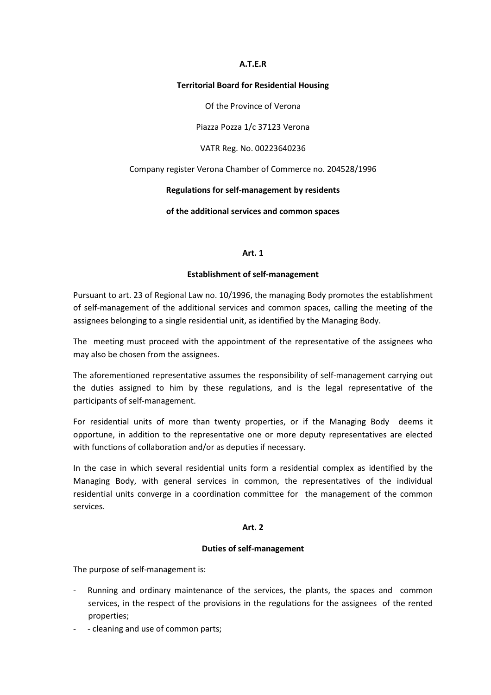## A.T.E.R

#### Territorial Board for Residential Housing

Of the Province of Verona

Piazza Pozza 1/c 37123 Verona

VATR Reg. No. 00223640236

Company register Verona Chamber of Commerce no. 204528/1996

# Regulations for self-management by residents

of the additional services and common spaces

## Art. 1

# Establishment of self-management

Pursuant to art. 23 of Regional Law no. 10/1996, the managing Body promotes the establishment of self-management of the additional services and common spaces, calling the meeting of the assignees belonging to a single residential unit, as identified by the Managing Body.

The meeting must proceed with the appointment of the representative of the assignees who may also be chosen from the assignees.

The aforementioned representative assumes the responsibility of self-management carrying out the duties assigned to him by these regulations, and is the legal representative of the participants of self-management.

For residential units of more than twenty properties, or if the Managing Body deems it opportune, in addition to the representative one or more deputy representatives are elected with functions of collaboration and/or as deputies if necessary.

In the case in which several residential units form a residential complex as identified by the Managing Body, with general services in common, the representatives of the individual residential units converge in a coordination committee for the management of the common services.

# Art. 2

## Duties of self-management

The purpose of self-management is:

- Running and ordinary maintenance of the services, the plants, the spaces and common services, in the respect of the provisions in the regulations for the assignees of the rented properties;
- cleaning and use of common parts;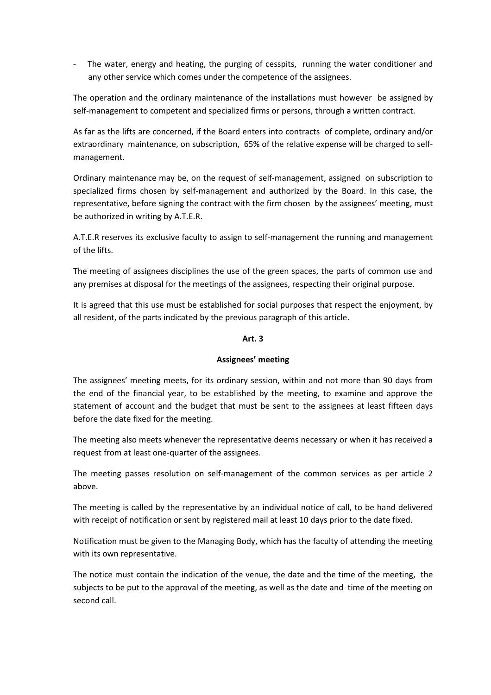- The water, energy and heating, the purging of cesspits, running the water conditioner and any other service which comes under the competence of the assignees.

The operation and the ordinary maintenance of the installations must however be assigned by self-management to competent and specialized firms or persons, through a written contract.

As far as the lifts are concerned, if the Board enters into contracts of complete, ordinary and/or extraordinary maintenance, on subscription, 65% of the relative expense will be charged to selfmanagement.

Ordinary maintenance may be, on the request of self-management, assigned on subscription to specialized firms chosen by self-management and authorized by the Board. In this case, the representative, before signing the contract with the firm chosen by the assignees' meeting, must be authorized in writing by A.T.E.R.

A.T.E.R reserves its exclusive faculty to assign to self-management the running and management of the lifts.

The meeting of assignees disciplines the use of the green spaces, the parts of common use and any premises at disposal for the meetings of the assignees, respecting their original purpose.

It is agreed that this use must be established for social purposes that respect the enjoyment, by all resident, of the parts indicated by the previous paragraph of this article.

# Art. 3

# Assignees' meeting

The assignees' meeting meets, for its ordinary session, within and not more than 90 days from the end of the financial year, to be established by the meeting, to examine and approve the statement of account and the budget that must be sent to the assignees at least fifteen days before the date fixed for the meeting.

The meeting also meets whenever the representative deems necessary or when it has received a request from at least one-quarter of the assignees.

The meeting passes resolution on self-management of the common services as per article 2 above.

The meeting is called by the representative by an individual notice of call, to be hand delivered with receipt of notification or sent by registered mail at least 10 days prior to the date fixed.

Notification must be given to the Managing Body, which has the faculty of attending the meeting with its own representative.

The notice must contain the indication of the venue, the date and the time of the meeting, the subjects to be put to the approval of the meeting, as well as the date and time of the meeting on second call.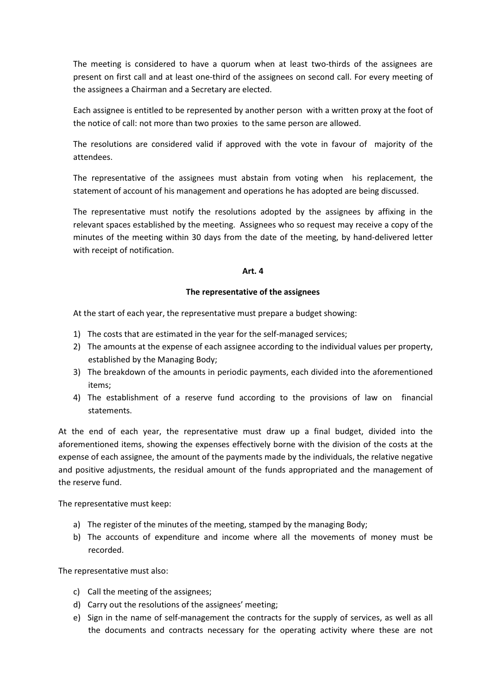The meeting is considered to have a quorum when at least two-thirds of the assignees are present on first call and at least one-third of the assignees on second call. For every meeting of the assignees a Chairman and a Secretary are elected.

Each assignee is entitled to be represented by another person with a written proxy at the foot of the notice of call: not more than two proxies to the same person are allowed.

The resolutions are considered valid if approved with the vote in favour of majority of the attendees.

The representative of the assignees must abstain from voting when his replacement, the statement of account of his management and operations he has adopted are being discussed.

The representative must notify the resolutions adopted by the assignees by affixing in the relevant spaces established by the meeting. Assignees who so request may receive a copy of the minutes of the meeting within 30 days from the date of the meeting, by hand-delivered letter with receipt of notification.

## Art. 4

## The representative of the assignees

At the start of each year, the representative must prepare a budget showing:

- 1) The costs that are estimated in the year for the self-managed services;
- 2) The amounts at the expense of each assignee according to the individual values per property, established by the Managing Body;
- 3) The breakdown of the amounts in periodic payments, each divided into the aforementioned items;
- 4) The establishment of a reserve fund according to the provisions of law on financial statements.

At the end of each year, the representative must draw up a final budget, divided into the aforementioned items, showing the expenses effectively borne with the division of the costs at the expense of each assignee, the amount of the payments made by the individuals, the relative negative and positive adjustments, the residual amount of the funds appropriated and the management of the reserve fund.

The representative must keep:

- a) The register of the minutes of the meeting, stamped by the managing Body;
- b) The accounts of expenditure and income where all the movements of money must be recorded.

The representative must also:

- c) Call the meeting of the assignees;
- d) Carry out the resolutions of the assignees' meeting;
- e) Sign in the name of self-management the contracts for the supply of services, as well as all the documents and contracts necessary for the operating activity where these are not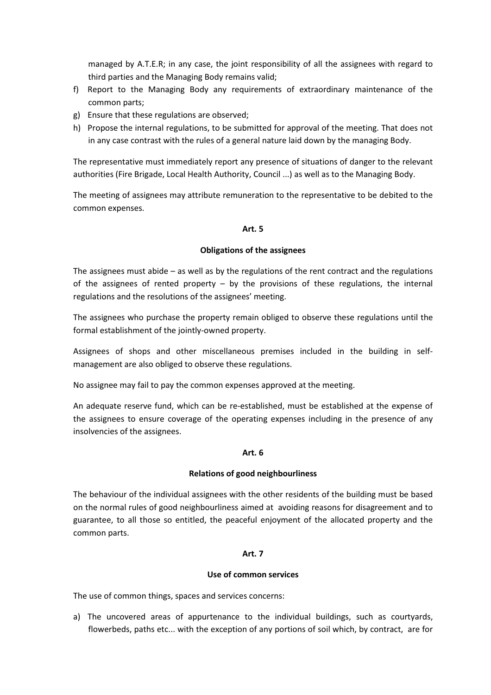managed by A.T.E.R; in any case, the joint responsibility of all the assignees with regard to third parties and the Managing Body remains valid;

- f) Report to the Managing Body any requirements of extraordinary maintenance of the common parts;
- g) Ensure that these regulations are observed;
- h) Propose the internal regulations, to be submitted for approval of the meeting. That does not in any case contrast with the rules of a general nature laid down by the managing Body.

The representative must immediately report any presence of situations of danger to the relevant authorities (Fire Brigade, Local Health Authority, Council ...) as well as to the Managing Body.

The meeting of assignees may attribute remuneration to the representative to be debited to the common expenses.

## Art. 5

# Obligations of the assignees

The assignees must abide – as well as by the regulations of the rent contract and the regulations of the assignees of rented property  $-$  by the provisions of these regulations, the internal regulations and the resolutions of the assignees' meeting.

The assignees who purchase the property remain obliged to observe these regulations until the formal establishment of the jointly-owned property.

Assignees of shops and other miscellaneous premises included in the building in selfmanagement are also obliged to observe these regulations.

No assignee may fail to pay the common expenses approved at the meeting.

An adequate reserve fund, which can be re-established, must be established at the expense of the assignees to ensure coverage of the operating expenses including in the presence of any insolvencies of the assignees.

## Art. 6

# Relations of good neighbourliness

The behaviour of the individual assignees with the other residents of the building must be based on the normal rules of good neighbourliness aimed at avoiding reasons for disagreement and to guarantee, to all those so entitled, the peaceful enjoyment of the allocated property and the common parts.

# Art. 7

# Use of common services

The use of common things, spaces and services concerns:

a) The uncovered areas of appurtenance to the individual buildings, such as courtyards, flowerbeds, paths etc... with the exception of any portions of soil which, by contract, are for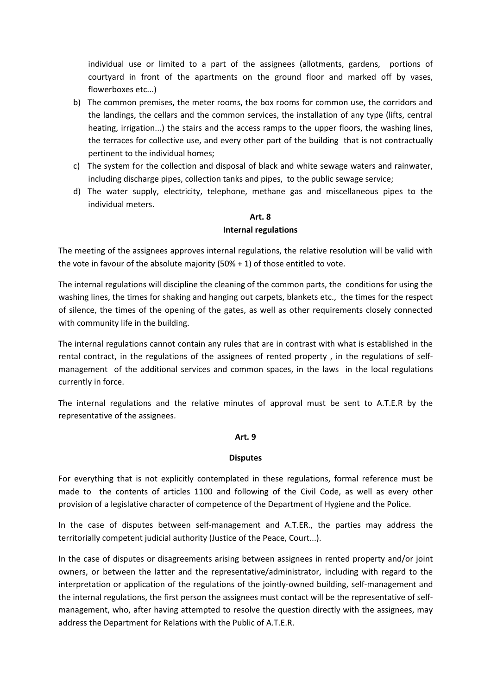individual use or limited to a part of the assignees (allotments, gardens, portions of courtyard in front of the apartments on the ground floor and marked off by vases, flowerboxes etc...)

- b) The common premises, the meter rooms, the box rooms for common use, the corridors and the landings, the cellars and the common services, the installation of any type (lifts, central heating, irrigation...) the stairs and the access ramps to the upper floors, the washing lines, the terraces for collective use, and every other part of the building that is not contractually pertinent to the individual homes;
- c) The system for the collection and disposal of black and white sewage waters and rainwater, including discharge pipes, collection tanks and pipes, to the public sewage service;
- d) The water supply, electricity, telephone, methane gas and miscellaneous pipes to the individual meters.

# Art. 8 Internal regulations

The meeting of the assignees approves internal regulations, the relative resolution will be valid with the vote in favour of the absolute majority (50% + 1) of those entitled to vote.

The internal regulations will discipline the cleaning of the common parts, the conditions for using the washing lines, the times for shaking and hanging out carpets, blankets etc., the times for the respect of silence, the times of the opening of the gates, as well as other requirements closely connected with community life in the building.

The internal regulations cannot contain any rules that are in contrast with what is established in the rental contract, in the regulations of the assignees of rented property , in the regulations of selfmanagement of the additional services and common spaces, in the laws in the local regulations currently in force.

The internal regulations and the relative minutes of approval must be sent to A.T.E.R by the representative of the assignees.

# Art. 9

## **Disputes**

For everything that is not explicitly contemplated in these regulations, formal reference must be made to the contents of articles 1100 and following of the Civil Code, as well as every other provision of a legislative character of competence of the Department of Hygiene and the Police.

In the case of disputes between self-management and A.T.ER., the parties may address the territorially competent judicial authority (Justice of the Peace, Court...).

In the case of disputes or disagreements arising between assignees in rented property and/or joint owners, or between the latter and the representative/administrator, including with regard to the interpretation or application of the regulations of the jointly-owned building, self-management and the internal regulations, the first person the assignees must contact will be the representative of selfmanagement, who, after having attempted to resolve the question directly with the assignees, may address the Department for Relations with the Public of A.T.E.R.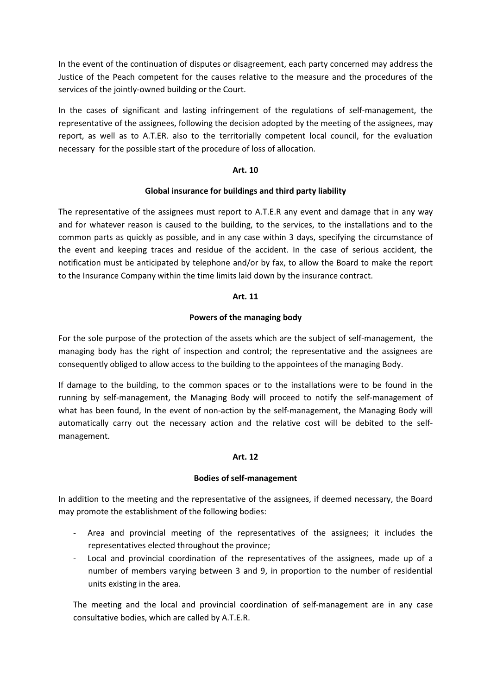In the event of the continuation of disputes or disagreement, each party concerned may address the Justice of the Peach competent for the causes relative to the measure and the procedures of the services of the jointly-owned building or the Court.

In the cases of significant and lasting infringement of the regulations of self-management, the representative of the assignees, following the decision adopted by the meeting of the assignees, may report, as well as to A.T.ER. also to the territorially competent local council, for the evaluation necessary for the possible start of the procedure of loss of allocation.

# Art. 10

# Global insurance for buildings and third party liability

The representative of the assignees must report to A.T.E.R any event and damage that in any way and for whatever reason is caused to the building, to the services, to the installations and to the common parts as quickly as possible, and in any case within 3 days, specifying the circumstance of the event and keeping traces and residue of the accident. In the case of serious accident, the notification must be anticipated by telephone and/or by fax, to allow the Board to make the report to the Insurance Company within the time limits laid down by the insurance contract.

# Art. 11

# Powers of the managing body

For the sole purpose of the protection of the assets which are the subject of self-management, the managing body has the right of inspection and control; the representative and the assignees are consequently obliged to allow access to the building to the appointees of the managing Body.

If damage to the building, to the common spaces or to the installations were to be found in the running by self-management, the Managing Body will proceed to notify the self-management of what has been found, In the event of non-action by the self-management, the Managing Body will automatically carry out the necessary action and the relative cost will be debited to the selfmanagement.

## Art. 12

## Bodies of self-management

In addition to the meeting and the representative of the assignees, if deemed necessary, the Board may promote the establishment of the following bodies:

- Area and provincial meeting of the representatives of the assignees; it includes the representatives elected throughout the province;
- Local and provincial coordination of the representatives of the assignees, made up of a number of members varying between 3 and 9, in proportion to the number of residential units existing in the area.

The meeting and the local and provincial coordination of self-management are in any case consultative bodies, which are called by A.T.E.R.